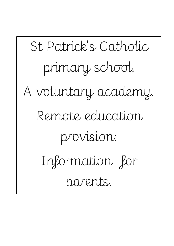St Patrick's Catholic primary school. A voluntary academy. Remote education provision: Information for parents.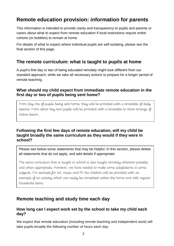# **Remote education provision: information for parents**

This information is intended to provide clarity and transparency to pupils and parents or carers about what to expect from remote education if local restrictions require entire cohorts (or bubbles) to remain at home.

For details of what to expect where individual pupils are self-isolating, please see the final section of this page.

## **The remote curriculum: what is taught to pupils at home**

A pupil's first day or two of being educated remotely might look different from our standard approach, while we take all necessary actions to prepare for a longer period of remote teaching.

### **What should my child expect from immediate remote education in the first day or two of pupils being sent home?**

From day one of pupils being sent home, they will be provided with a timetable of daily lessons. From either day two pupils will be provided with a timetable to show timings of online lesson.

### **Following the first few days of remote education, will my child be taught broadly the same curriculum as they would if they were in school?**

Please see below some statements that may be helpful. In this section, please delete all statements that do not apply, and add details if appropriate:

The same curriculum that is taught in school is also taught remotely wherever possible and when appropriate. However, we have needed to make some adaptations in some subjects. For example for art, music and PE the children will be provided with an example of an activity which can easily be completed within the home and with regular household items.

# **Remote teaching and study time each day**

### **How long can I expect work set by the school to take my child each day?**

We expect that remote education (including remote teaching and independent work) will take pupils broadly the following number of hours each day: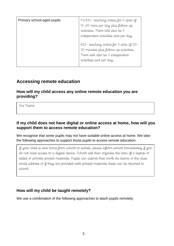| Primary school-aged pupils | FS/KS1- teaching online for 4 slots of<br>15-20 mins per day plus follow up<br>activities. There will also be 3<br>independent activities sent per day. |
|----------------------------|---------------------------------------------------------------------------------------------------------------------------------------------------------|
|                            | KS2- teaching online for 3 slots of 20-<br>30 minutes plus follow up activities.<br>There will also be 3 independent<br>activities sent per day.        |

### **Accessing remote education**

**How will my child access any online remote education you are providing?**

Via Teams

### **If my child does not have digital or online access at home, how will you support them to access remote education?**

We recognise that some pupils may not have suitable online access at home. We take the following approaches to support those pupils to access remote education:

If your child is sent home from school to isolate, please inform school immediately if you do not have access to a digital device. School will then organise the loan of a laptop or tablet or provide printed materials. Pupils can submit their work via teams or the class email address or if they are provided with printed materials these can be returned to school.

### **How will my child be taught remotely?**

We use a combination of the following approaches to teach pupils remotely: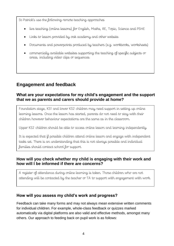St Patrick's use the following remote teaching approaches

- live teaching (online lessons) for English, Maths, RE, Topic, Science and PSHE
- Links to lesson provided by oak academy and other website
- Documents and powerpoints produced by teachers (e.g. workbooks, worksheets)
- commercially available websites supporting the teaching of specific subjects or areas, including video clips or sequences

## **Engagement and feedback**

### **What are your expectations for my child's engagement and the support that we as parents and carers should provide at home?**

Foundation stage, KS1 and lower KS2 children may need support in setting up online learning lessons. Once the lesson has started, parents do not need to stay with their children however behaviour expectations are the same as in the classroom.

Upper KS2 children should be able to access online lesson and learning independently.

It is expected that if possible children attend online lesson and engage with independent tasks set. There is an understanding that this is not always possible and individual families should contact school for support.

### **How will you check whether my child is engaging with their work and how will I be informed if there are concerns?**

A register of attendance during online learning is taken. Those children who are not attending will be contacted by the teacher or TA to support with engagement with work.

### **How will you assess my child's work and progress?**

Feedback can take many forms and may not always mean extensive written comments for individual children. For example, whole-class feedback or quizzes marked automatically via digital platforms are also valid and effective methods, amongst many others. Our approach to feeding back on pupil work is as follows: